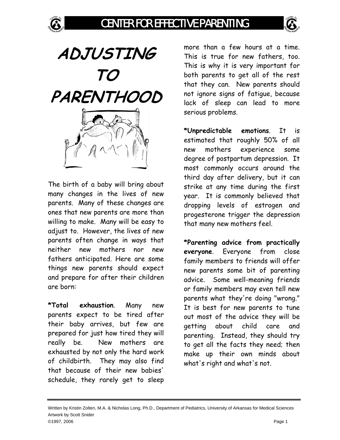

**ADJUSTING TO PARENTHOOD** 

The birth of a baby will bring about many changes in the lives of new parents. Many of these changes are ones that new parents are more than willing to make. Many will be easy to adjust to. However, the lives of new parents often change in ways that neither new mothers nor new fathers anticipated. Here are some things new parents should expect and prepare for after their children are born:

**\*Total exhaustion**. Many new parents expect to be tired after their baby arrives, but few are prepared for just how tired they will really be. New mothers are exhausted by not only the hard work of childbirth. They may also find that because of their new babies' schedule, they rarely get to sleep

more than a few hours at a time. This is true for new fathers, too. This is why it is very important for both parents to get all of the rest that they can. New parents should not ignore signs of fatigue, because lack of sleep can lead to more serious problems.

**\*Unpredictable emotions**. It is estimated that roughly 50% of all new mothers experience some degree of postpartum depression. It most commonly occurs around the third day after delivery, but it can strike at any time during the first year. It is commonly believed that dropping levels of estrogen and progesterone trigger the depression that many new mothers feel.

**\*Parenting advice from practically everyone**. Everyone from close family members to friends will offer new parents some bit of parenting advice. Some well-meaning friends or family members may even tell new parents what they're doing "wrong." It is best for new parents to tune out most of the advice they will be getting about child care and parenting. Instead, they should try to get all the facts they need; then make up their own minds about what's right and what's not.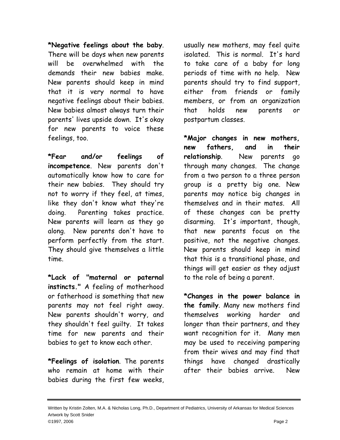**\*Negative feelings about the baby**. There will be days when new parents will be overwhelmed with the demands their new babies make. New parents should keep in mind that it is very normal to have negative feelings about their babies. New babies almost always turn their parents' lives upside down. It's okay for new parents to voice these feelings, too.

**\*Fear and/or feelings of incompetence**. New parents don't automatically know how to care for their new babies. They should try not to worry if they feel, at times, like they don't know what they're doing. Parenting takes practice. New parents will learn as they go along. New parents don't have to perform perfectly from the start. They should give themselves a little time.

**\*Lack of "maternal or paternal instincts."** A feeling of motherhood or fatherhood is something that new parents may not feel right away. New parents shouldn't worry, and they shouldn't feel guilty. It takes time for new parents and their babies to get to know each other.

**\*Feelings of isolation**. The parents who remain at home with their babies during the first few weeks, usually new mothers, may feel quite isolated. This is normal. It's hard to take care of a baby for long periods of time with no help. New parents should try to find support, either from friends or family members, or from an organization that holds new parents or postpartum classes.

**\*Major changes in new mothers, new fathers, and in their relationship**. New parents go through many changes. The change from a two person to a three person group is a pretty big one. New parents may notice big changes in themselves and in their mates. All of these changes can be pretty disarming. It's important, though, that new parents focus on the positive, not the negative changes. New parents should keep in mind that this is a transitional phase, and things will get easier as they adjust to the role of being a parent.

**\*Changes in the power balance in the family**. Many new mothers find themselves working harder and longer than their partners, and they want recognition for it. Many men may be used to receiving pampering from their wives and may find that things have changed drastically after their babies arrive. New